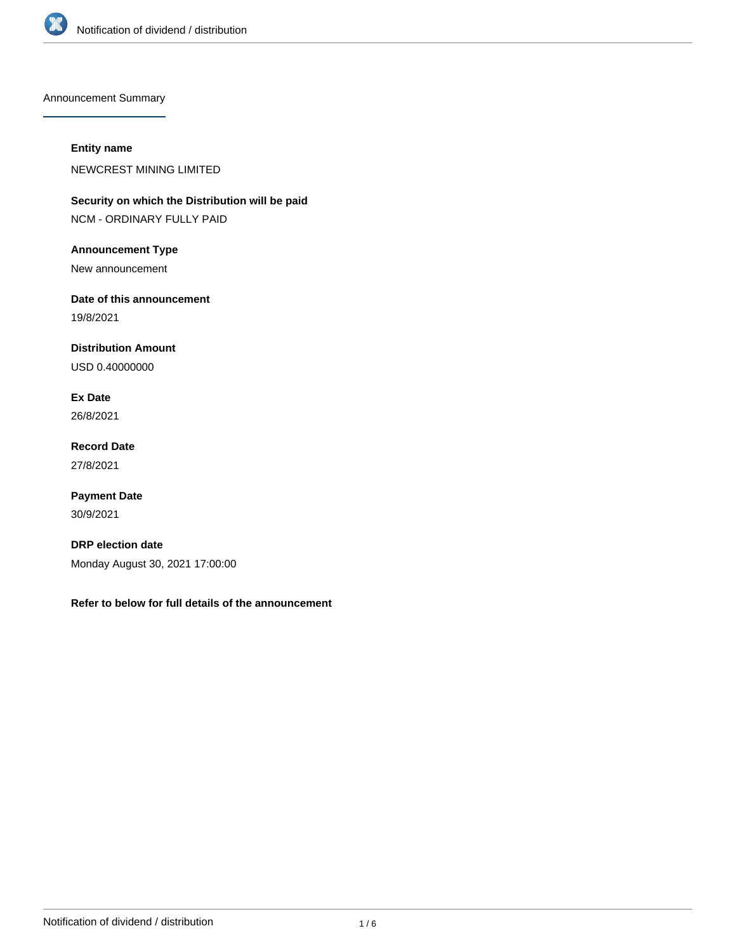

Announcement Summary

## **Entity name**

NEWCREST MINING LIMITED

**Security on which the Distribution will be paid** NCM - ORDINARY FULLY PAID

**Announcement Type**

New announcement

**Date of this announcement** 19/8/2021

**Distribution Amount**

USD 0.40000000

**Ex Date** 26/8/2021

**Record Date** 27/8/2021

**Payment Date** 30/9/2021

**DRP election date** Monday August 30, 2021 17:00:00

**Refer to below for full details of the announcement**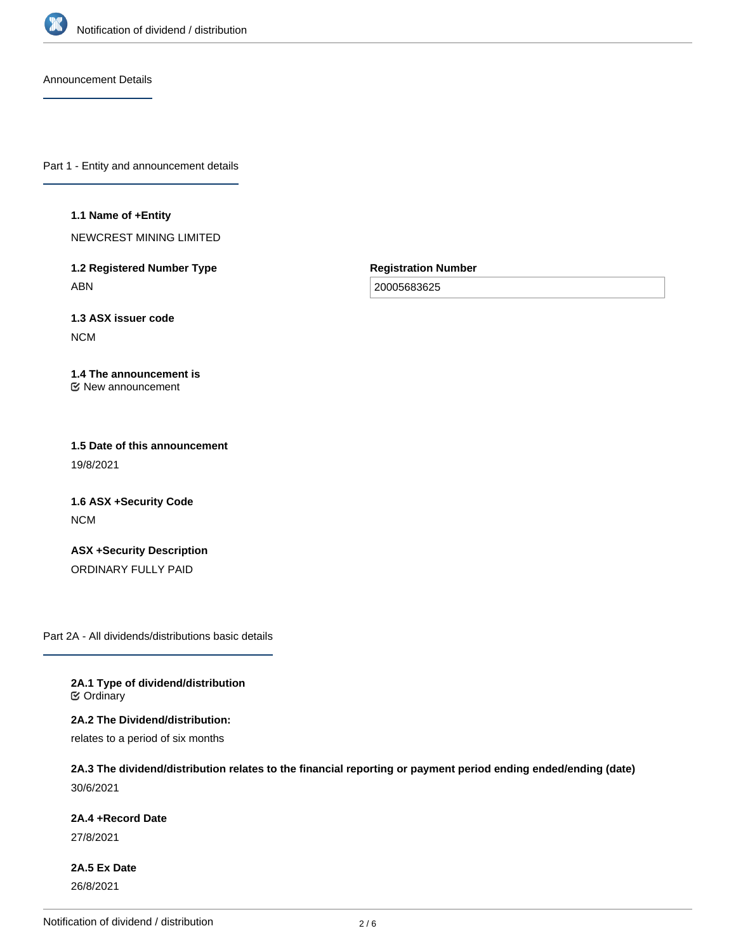

Announcement Details

Part 1 - Entity and announcement details

#### **1.1 Name of +Entity**

NEWCREST MINING LIMITED

**1.2 Registered Number Type** ABN

**Registration Number**

20005683625

**1.3 ASX issuer code** NCM

#### **1.4 The announcement is** New announcement

**1.5 Date of this announcement** 19/8/2021

**1.6 ASX +Security Code** NCM

**ASX +Security Description** ORDINARY FULLY PAID

Part 2A - All dividends/distributions basic details

**2A.1 Type of dividend/distribution C** Ordinary

**2A.2 The Dividend/distribution:** relates to a period of six months

**2A.3 The dividend/distribution relates to the financial reporting or payment period ending ended/ending (date)** 30/6/2021

**2A.4 +Record Date**

27/8/2021

**2A.5 Ex Date** 26/8/2021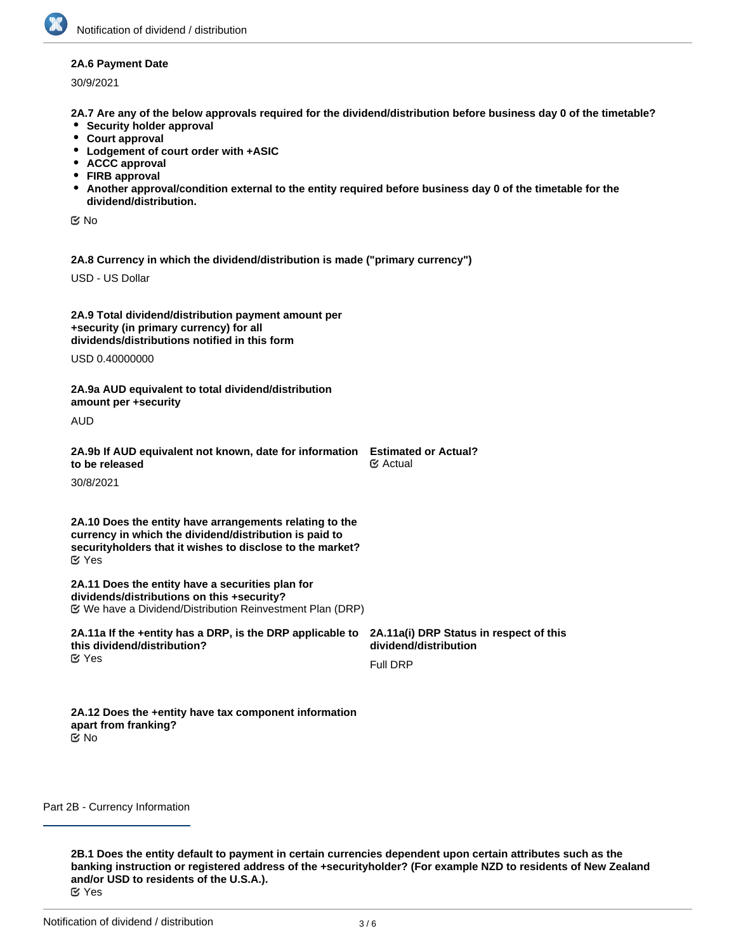## **2A.6 Payment Date**

30/9/2021

**2A.7 Are any of the below approvals required for the dividend/distribution before business day 0 of the timetable?**

- **Security holder approval**
- **Court approval**
- **Lodgement of court order with +ASIC**
- **ACCC approval**
- **FIRB approval**
- **Another approval/condition external to the entity required before business day 0 of the timetable for the dividend/distribution.**

No

**2A.8 Currency in which the dividend/distribution is made ("primary currency")**

USD - US Dollar

| 2A.9 Total dividend/distribution payment amount per |
|-----------------------------------------------------|
| +security (in primary currency) for all             |
| dividends/distributions notified in this form       |
| $110D - 10000000$                                   |

USD 0.40000000

**2A.9a AUD equivalent to total dividend/distribution amount per +security**

AUD

| 2A.9b If AUD equivalent not known, date for information Estimated or Actual? |                       |
|------------------------------------------------------------------------------|-----------------------|
| to be released                                                               | $\mathfrak{S}$ Actual |

30/8/2021

**2A.10 Does the entity have arrangements relating to the currency in which the dividend/distribution is paid to securityholders that it wishes to disclose to the market?** Yes

**2A.11 Does the entity have a securities plan for dividends/distributions on this +security?** We have a Dividend/Distribution Reinvestment Plan (DRP)

| 2A.11a If the +entity has a DRP, is the DRP applicable to 2A.11a(i) DRP Status in respect of this<br>this dividend/distribution? | dividend/distribution |
|----------------------------------------------------------------------------------------------------------------------------------|-----------------------|
| <b>M</b> Yes                                                                                                                     | Full DRP              |

**2A.12 Does the +entity have tax component information apart from franking?** No

Part 2B - Currency Information

**2B.1 Does the entity default to payment in certain currencies dependent upon certain attributes such as the banking instruction or registered address of the +securityholder? (For example NZD to residents of New Zealand and/or USD to residents of the U.S.A.).** Yes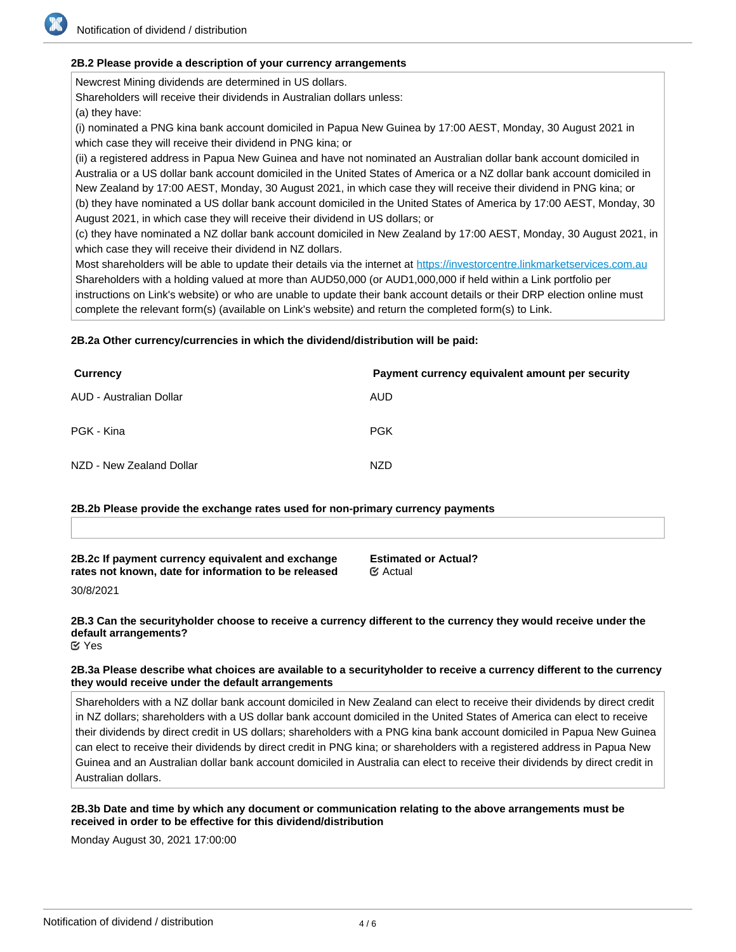# **2B.2 Please provide a description of your currency arrangements**

Newcrest Mining dividends are determined in US dollars. Shareholders will receive their dividends in Australian dollars unless:

(a) they have:

(i) nominated a PNG kina bank account domiciled in Papua New Guinea by 17:00 AEST, Monday, 30 August 2021 in which case they will receive their dividend in PNG kina; or

(ii) a registered address in Papua New Guinea and have not nominated an Australian dollar bank account domiciled in Australia or a US dollar bank account domiciled in the United States of America or a NZ dollar bank account domiciled in New Zealand by 17:00 AEST, Monday, 30 August 2021, in which case they will receive their dividend in PNG kina; or (b) they have nominated a US dollar bank account domiciled in the United States of America by 17:00 AEST, Monday, 30 August 2021, in which case they will receive their dividend in US dollars; or

(c) they have nominated a NZ dollar bank account domiciled in New Zealand by 17:00 AEST, Monday, 30 August 2021, in which case they will receive their dividend in NZ dollars.

Most shareholders will be able to update their details via the internet at <https://investorcentre.linkmarketservices.com.au> Shareholders with a holding valued at more than AUD50,000 (or AUD1,000,000 if held within a Link portfolio per instructions on Link's website) or who are unable to update their bank account details or their DRP election online must complete the relevant form(s) (available on Link's website) and return the completed form(s) to Link.

# **2B.2a Other currency/currencies in which the dividend/distribution will be paid:**

| Currency                 | Payment currency equivalent amount per security |
|--------------------------|-------------------------------------------------|
| AUD - Australian Dollar  | AUD                                             |
| PGK - Kina               | <b>PGK</b>                                      |
| NZD - New Zealand Dollar | <b>NZD</b>                                      |

## **2B.2b Please provide the exchange rates used for non-primary currency payments**

**2B.2c If payment currency equivalent and exchange rates not known, date for information to be released**

**Estimated or Actual?** Actual

30/8/2021

# **2B.3 Can the securityholder choose to receive a currency different to the currency they would receive under the default arrangements?**

Yes

# **2B.3a Please describe what choices are available to a securityholder to receive a currency different to the currency they would receive under the default arrangements**

Shareholders with a NZ dollar bank account domiciled in New Zealand can elect to receive their dividends by direct credit in NZ dollars; shareholders with a US dollar bank account domiciled in the United States of America can elect to receive their dividends by direct credit in US dollars; shareholders with a PNG kina bank account domiciled in Papua New Guinea can elect to receive their dividends by direct credit in PNG kina; or shareholders with a registered address in Papua New Guinea and an Australian dollar bank account domiciled in Australia can elect to receive their dividends by direct credit in Australian dollars.

## **2B.3b Date and time by which any document or communication relating to the above arrangements must be received in order to be effective for this dividend/distribution**

Monday August 30, 2021 17:00:00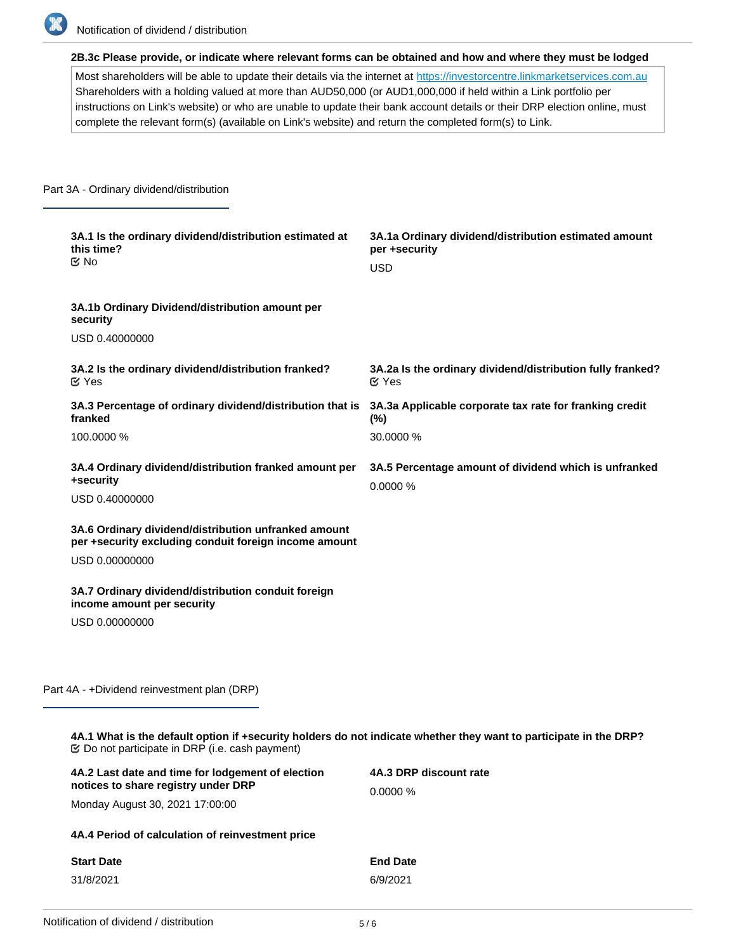

**2B.3c Please provide, or indicate where relevant forms can be obtained and how and where they must be lodged**

Most shareholders will be able to update their details via the internet at <https://investorcentre.linkmarketservices.com.au> Shareholders with a holding valued at more than AUD50,000 (or AUD1,000,000 if held within a Link portfolio per instructions on Link's website) or who are unable to update their bank account details or their DRP election online, must complete the relevant form(s) (available on Link's website) and return the completed form(s) to Link.

#### Part 3A - Ordinary dividend/distribution

| 3A.1 Is the ordinary dividend/distribution estimated at<br>this time?<br>$\alpha$ No                          | 3A.1a Ordinary dividend/distribution estimated amount<br>per +security<br><b>USD</b> |
|---------------------------------------------------------------------------------------------------------------|--------------------------------------------------------------------------------------|
| 3A.1b Ordinary Dividend/distribution amount per<br>security                                                   |                                                                                      |
| USD 0.40000000                                                                                                |                                                                                      |
| 3A.2 Is the ordinary dividend/distribution franked?<br>$\alpha$ Yes                                           | 3A.2a Is the ordinary dividend/distribution fully franked?<br>$\mathfrak{C}$ Yes     |
| 3A.3 Percentage of ordinary dividend/distribution that is<br>franked                                          | 3A.3a Applicable corporate tax rate for franking credit<br>(%)                       |
| 100.0000 %                                                                                                    | 30.0000 %                                                                            |
| 3A.4 Ordinary dividend/distribution franked amount per<br>+security                                           | 3A.5 Percentage amount of dividend which is unfranked<br>0.0000 %                    |
| USD 0.40000000                                                                                                |                                                                                      |
| 3A.6 Ordinary dividend/distribution unfranked amount<br>per +security excluding conduit foreign income amount |                                                                                      |
| USD 0.00000000                                                                                                |                                                                                      |
| 3A.7 Ordinary dividend/distribution conduit foreign<br>income amount per security                             |                                                                                      |
| USD 0.00000000                                                                                                |                                                                                      |

Part 4A - +Dividend reinvestment plan (DRP)

**4A.1 What is the default option if +security holders do not indicate whether they want to participate in the DRP?** Do not participate in DRP (i.e. cash payment)

| 4A.2 Last date and time for lodgement of election<br>notices to share registry under DRP | 4A.3 DRP discount rate<br>0.0000% |  |  |  |  |
|------------------------------------------------------------------------------------------|-----------------------------------|--|--|--|--|
| Monday August 30, 2021 17:00:00                                                          |                                   |  |  |  |  |
| 4A.4 Period of calculation of reinvestment price                                         |                                   |  |  |  |  |
| <b>Start Date</b>                                                                        | <b>End Date</b>                   |  |  |  |  |
| 31/8/2021                                                                                | 6/9/2021                          |  |  |  |  |